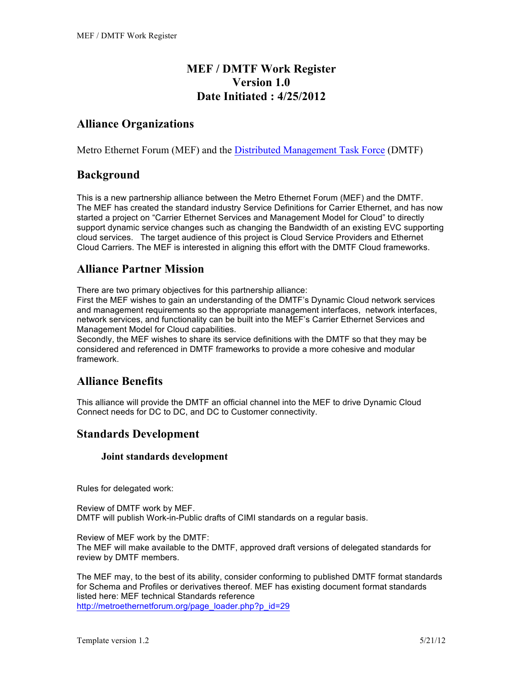# **MEF / DMTF Work Register Version 1.0 Date Initiated : 4/25/2012**

# **Alliance Organizations**

Metro Ethernet Forum (MEF) and the Distributed Management Task Force (DMTF)

### **Background**

This is a new partnership alliance between the Metro Ethernet Forum (MEF) and the DMTF. The MEF has created the standard industry Service Definitions for Carrier Ethernet, and has now started a project on "Carrier Ethernet Services and Management Model for Cloud" to directly support dynamic service changes such as changing the Bandwidth of an existing EVC supporting cloud services. The target audience of this project is Cloud Service Providers and Ethernet Cloud Carriers. The MEF is interested in aligning this effort with the DMTF Cloud frameworks.

# **Alliance Partner Mission**

There are two primary objectives for this partnership alliance:

First the MEF wishes to gain an understanding of the DMTF's Dynamic Cloud network services and management requirements so the appropriate management interfaces, network interfaces, network services, and functionality can be built into the MEF's Carrier Ethernet Services and Management Model for Cloud capabilities.

Secondly, the MEF wishes to share its service definitions with the DMTF so that they may be considered and referenced in DMTF frameworks to provide a more cohesive and modular framework.

### **Alliance Benefits**

This alliance will provide the DMTF an official channel into the MEF to drive Dynamic Cloud Connect needs for DC to DC, and DC to Customer connectivity.

### **Standards Development**

#### **Joint standards development**

Rules for delegated work:

Review of DMTF work by MEF. DMTF will publish Work-in-Public drafts of CIMI standards on a regular basis.

Review of MEF work by the DMTF: The MEF will make available to the DMTF, approved draft versions of delegated standards for review by DMTF members.

The MEF may, to the best of its ability, consider conforming to published DMTF format standards for Schema and Profiles or derivatives thereof. MEF has existing document format standards listed here: MEF technical Standards reference http://metroethernetforum.org/page\_loader.php?p\_id=29